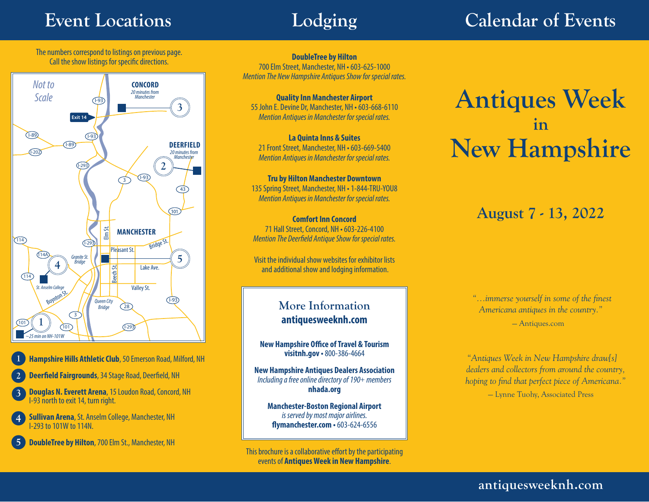# **Event Locations Lodging Calendar of Events**

The numbers correspond to listings on previous page. Call the show listings for specific directions.



**1 Hampshire Hills Athletic Club**, 50 Emerson Road, Milford, NH

- **2 Deerfield Fairgrounds**, 34 Stage Road, Deerfield, NH
- **3 Douglas N. Everett Arena**, 15 Loudon Road, Concord, NH I-93 north to exit 14, turn right.
- **4 Sullivan Arena**, St. Anselm College, Manchester, NH I-293 to 101W to 114N.
- **5 DoubleTree by Hilton**, 700 Elm St., Manchester, NH

**DoubleTree by Hilton**  700 Elm Street, Manchester, NH • 603-625-1000 *Mention The New Hampshire Antiques Show for special rates.*

**Quality Inn Manchester Airport**  55 John E. Devine Dr, Manchester, NH • 603-668-6110 *Mention Antiques in Manchester for special rates.*

**La Quinta Inns & Suites** 21 Front Street, Manchester, NH • 603-669-5400 *Mention Antiques in Manchester for special rates.*

**Tru by Hilton Manchester Downtown** 135 Spring Street, Manchester, NH • 1-844-TRU-YOU8 *Mention Antiques in Manchester for special rates.*

**Comfort Inn Concord**  71 Hall Street, Concord, NH • 603-226-4100 *Mention The Deerfield Antique Show for special rates.*

Visit the individual show websites for exhibitor lists and additional show and lodging information.

## **More Information antiquesweeknh.com**

**New Hampshire Office of Travel & Tourism visitnh.gov •** 800-386-4664

**New Hampshire Antiques Dealers Association** *Including a free online directory of 190+ members* **nhada.org**

**Manchester-Boston Regional Airport** *is served by most major airlines.* **flymanchester.com •** 603-624-6556

This brochure is a collaborative effort by the participating events of **Antiques Week in New Hampshire**.

# **Antiques Week in New Hampshire**

# **August 7 - 13, 2022**

 *"...immerse yourself in some of the finest Americana antiques in the country."* — Antiques.com

*"Antiques Week in New Hampshire draw[s] dealers and collectors from around the country, hoping to find that perfect piece of Americana."* — Lynne Tuohy, Associated Press

**antiquesweeknh.com**